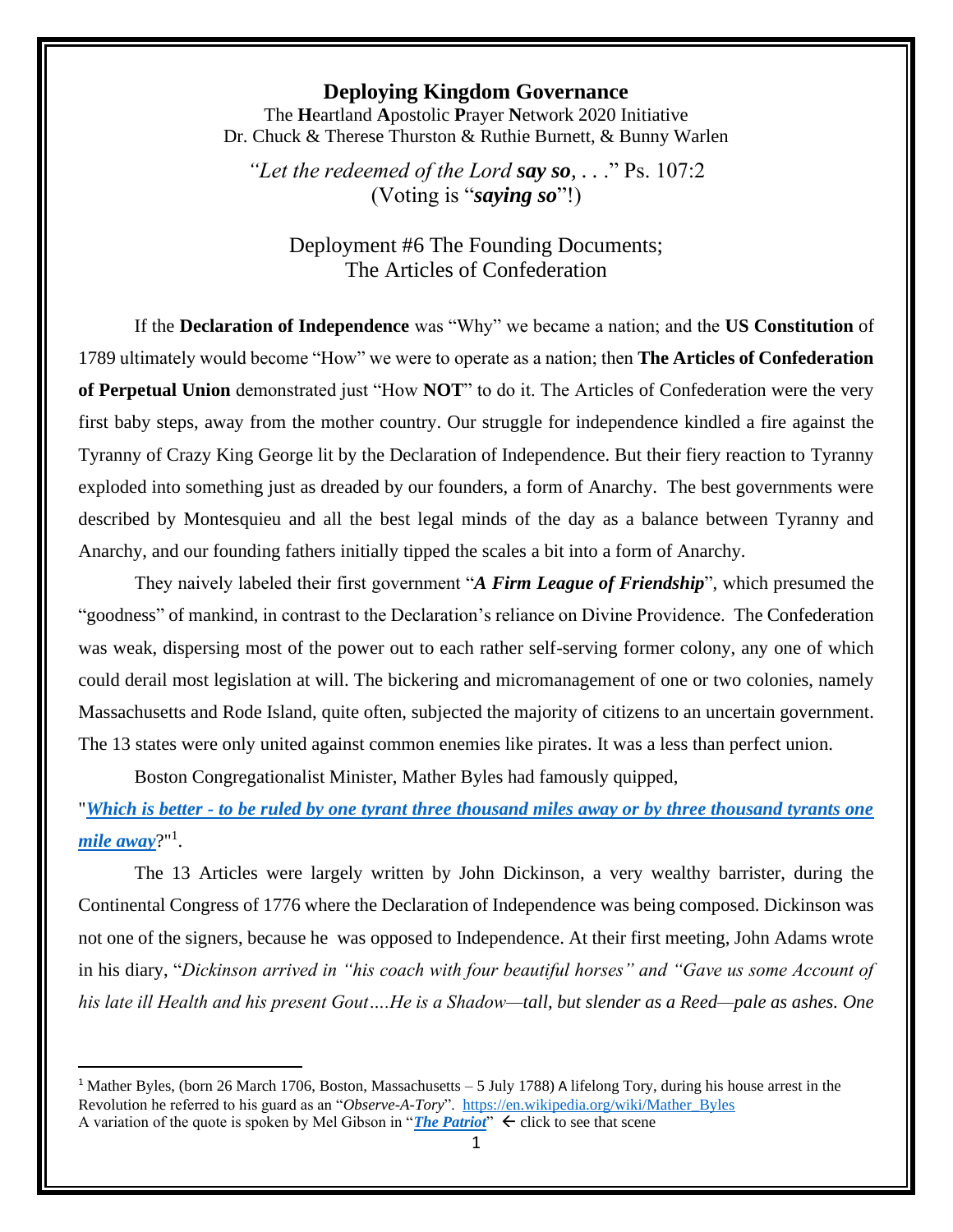## **Deploying Kingdom Governance**

The **H**eartland **A**postolic **P**rayer **N**etwork 2020 Initiative Dr. Chuck & Therese Thurston & Ruthie Burnett, & Bunny Warlen

*"Let the redeemed of the Lord say so, . .* ." Ps. 107:2 (Voting is "*saying so*"!)

Deployment #6 The Founding Documents; The Articles of Confederation

If the **Declaration of Independence** was "Why" we became a nation; and the **US Constitution** of 1789 ultimately would become "How" we were to operate as a nation; then **The Articles of Confederation of Perpetual Union** demonstrated just "How **NOT**" to do it. The Articles of Confederation were the very first baby steps, away from the mother country. Our struggle for independence kindled a fire against the Tyranny of Crazy King George lit by the Declaration of Independence. But their fiery reaction to Tyranny exploded into something just as dreaded by our founders, a form of Anarchy. The best governments were described by Montesquieu and all the best legal minds of the day as a balance between Tyranny and Anarchy, and our founding fathers initially tipped the scales a bit into a form of Anarchy.

They naively labeled their first government "*A Firm League of Friendship*", which presumed the "goodness" of mankind, in contrast to the Declaration's reliance on Divine Providence. The Confederation was weak, dispersing most of the power out to each rather self-serving former colony, any one of which could derail most legislation at will. The bickering and micromanagement of one or two colonies, namely Massachusetts and Rode Island, quite often, subjected the majority of citizens to an uncertain government. The 13 states were only united against common enemies like pirates. It was a less than perfect union.

Boston Congregationalist Minister, Mather Byles had famously quipped,

"*Which is better - [to be ruled by one tyrant three thousand miles away or by three thousand tyrants one](https://youtu.be/Ntde_Twl4mI)  [mile away](https://youtu.be/Ntde_Twl4mI)*?"<sup>1</sup> .

The 13 Articles were largely written by John Dickinson, a very wealthy barrister, during the Continental Congress of 1776 where the Declaration of Independence was being composed. Dickinson was not one of the signers, because he was opposed to Independence. At their first meeting, John Adams wrote in his diary, "*Dickinson arrived in "his coach with four beautiful horses" and "Gave us some Account of his late ill Health and his present Gout….He is a Shadow—tall, but slender as a Reed—pale as ashes. One* 

<sup>1</sup> Mather Byles, (born 26 March 1706, Boston, Massachusetts – 5 July 1788) A lifelong Tory, during his house arrest in the Revolution he referred to his guard as an "*Observe-A-Tory*". [https://en.wikipedia.org/wiki/Mather\\_Byles](https://en.wikipedia.org/wiki/Mather_Byles) A variation of the quote is spoken by Mel Gibson in "*[The Patriot](https://www.youtube.com/watch?v=Ntde_Twl4mI)*"  $\leftarrow$  click to see that scene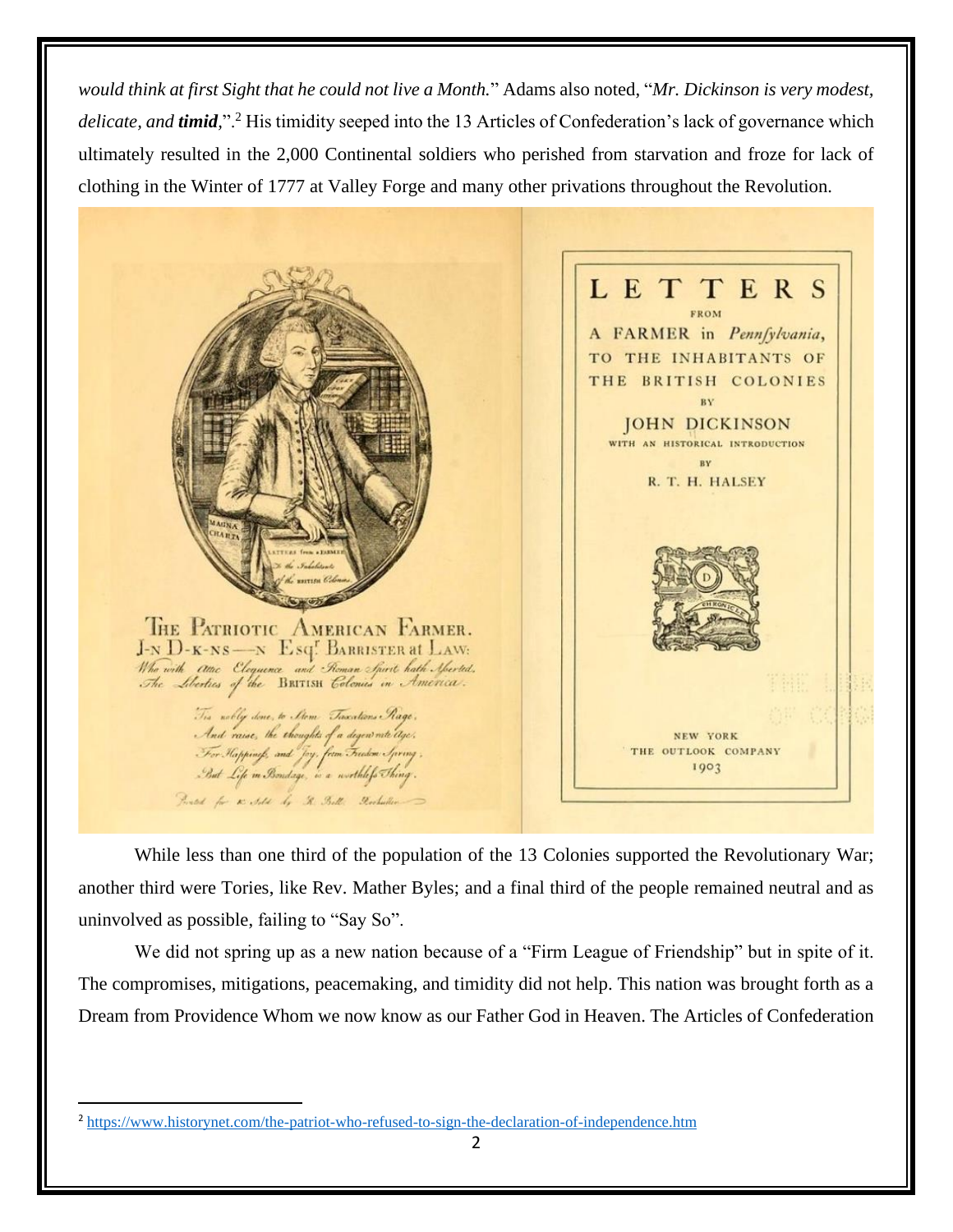*would think at first Sight that he could not live a Month.*" Adams also noted, "*Mr. Dickinson is very modest, delicate, and timid,*".<sup>2</sup> His timidity seeped into the 13 Articles of Confederation's lack of governance which ultimately resulted in the 2,000 Continental soldiers who perished from starvation and froze for lack of clothing in the Winter of 1777 at Valley Forge and many other privations throughout the Revolution.



While less than one third of the population of the 13 Colonies supported the Revolutionary War; another third were Tories, like Rev. Mather Byles; and a final third of the people remained neutral and as uninvolved as possible, failing to "Say So".

We did not spring up as a new nation because of a "Firm League of Friendship" but in spite of it. The compromises, mitigations, peacemaking, and timidity did not help. This nation was brought forth as a Dream from Providence Whom we now know as our Father God in Heaven. The Articles of Confederation

<sup>2</sup> <https://www.historynet.com/the-patriot-who-refused-to-sign-the-declaration-of-independence.htm>